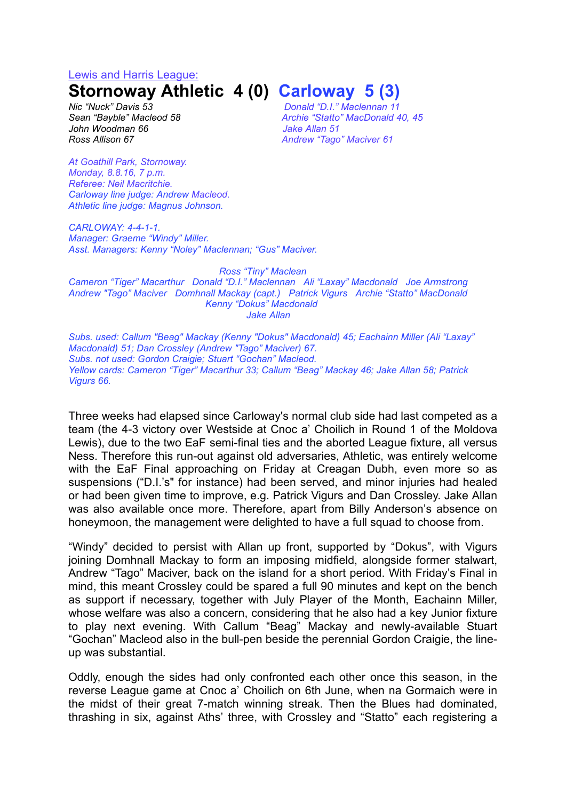#### Lewis and Harris League:

# **Stornoway Athletic 4 (0) Carloway 5 (3)**

*Nic "Nuck" Davis 53 Donald "D.I." Maclennan 11 John Woodman 66 Jake Allan 51*

*Sean "Bayble" Macleod 58 Archie "Statto" MacDonald 40, 45 Ross Allison 67 Andrew "Tago" Maciver 61*

*At Goathill Park, Stornoway. Monday, 8.8.16, 7 p.m. Referee: Neil Macritchie. Carloway line judge: Andrew Macleod. Athletic line judge: Magnus Johnson.*

*CARLOWAY: 4-4-1-1. Manager: Graeme "Windy" Miller. Asst. Managers: Kenny "Noley" Maclennan; "Gus" Maciver.*

#### *Ross "Tiny" Maclean*

*Cameron "Tiger" Macarthur Donald "D.I." Maclennan Ali "Laxay" Macdonald Joe Armstrong Andrew "Tago" Maciver Domhnall Mackay (capt.) Patrick Vigurs Archie "Statto" MacDonald Kenny "Dokus" Macdonald Jake Allan*

*Subs. used: Callum "Beag" Mackay (Kenny "Dokus" Macdonald) 45; Eachainn Miller (Ali "Laxay" Macdonald) 51; Dan Crossley (Andrew "Tago" Maciver) 67. Subs. not used: Gordon Craigie; Stuart "Gochan" Macleod. Yellow cards: Cameron "Tiger" Macarthur 33; Callum "Beag" Mackay 46; Jake Allan 58; Patrick Vigurs 66.*

Three weeks had elapsed since Carloway's normal club side had last competed as a team (the 4-3 victory over Westside at Cnoc a' Choilich in Round 1 of the Moldova Lewis), due to the two EaF semi-final ties and the aborted League fixture, all versus Ness. Therefore this run-out against old adversaries, Athletic, was entirely welcome with the EaF Final approaching on Friday at Creagan Dubh, even more so as suspensions ("D.I.'s" for instance) had been served, and minor injuries had healed or had been given time to improve, e.g. Patrick Vigurs and Dan Crossley. Jake Allan was also available once more. Therefore, apart from Billy Anderson's absence on honeymoon, the management were delighted to have a full squad to choose from.

"Windy" decided to persist with Allan up front, supported by "Dokus", with Vigurs joining Domhnall Mackay to form an imposing midfield, alongside former stalwart, Andrew "Tago" Maciver, back on the island for a short period. With Friday's Final in mind, this meant Crossley could be spared a full 90 minutes and kept on the bench as support if necessary, together with July Player of the Month, Eachainn Miller, whose welfare was also a concern, considering that he also had a key Junior fixture to play next evening. With Callum "Beag" Mackay and newly-available Stuart "Gochan" Macleod also in the bull-pen beside the perennial Gordon Craigie, the lineup was substantial.

Oddly, enough the sides had only confronted each other once this season, in the reverse League game at Cnoc a' Choilich on 6th June, when na Gormaich were in the midst of their great 7-match winning streak. Then the Blues had dominated, thrashing in six, against Aths' three, with Crossley and "Statto" each registering a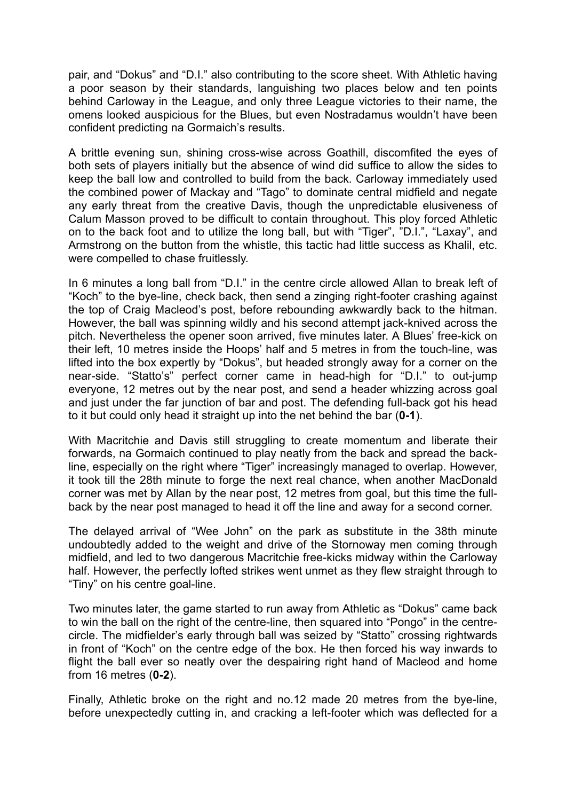pair, and "Dokus" and "D.I." also contributing to the score sheet. With Athletic having a poor season by their standards, languishing two places below and ten points behind Carloway in the League, and only three League victories to their name, the omens looked auspicious for the Blues, but even Nostradamus wouldn't have been confident predicting na Gormaich's results.

A brittle evening sun, shining cross-wise across Goathill, discomfited the eyes of both sets of players initially but the absence of wind did suffice to allow the sides to keep the ball low and controlled to build from the back. Carloway immediately used the combined power of Mackay and "Tago" to dominate central midfield and negate any early threat from the creative Davis, though the unpredictable elusiveness of Calum Masson proved to be difficult to contain throughout. This ploy forced Athletic on to the back foot and to utilize the long ball, but with "Tiger", "D.I.", "Laxay", and Armstrong on the button from the whistle, this tactic had little success as Khalil, etc. were compelled to chase fruitlessly.

In 6 minutes a long ball from "D.I." in the centre circle allowed Allan to break left of "Koch" to the bye-line, check back, then send a zinging right-footer crashing against the top of Craig Macleod's post, before rebounding awkwardly back to the hitman. However, the ball was spinning wildly and his second attempt jack-knived across the pitch. Nevertheless the opener soon arrived, five minutes later. A Blues' free-kick on their left, 10 metres inside the Hoops' half and 5 metres in from the touch-line, was lifted into the box expertly by "Dokus", but headed strongly away for a corner on the near-side. "Statto's" perfect corner came in head-high for "D.I." to out-jump everyone, 12 metres out by the near post, and send a header whizzing across goal and just under the far junction of bar and post. The defending full-back got his head to it but could only head it straight up into the net behind the bar (**0-1**).

With Macritchie and Davis still struggling to create momentum and liberate their forwards, na Gormaich continued to play neatly from the back and spread the backline, especially on the right where "Tiger" increasingly managed to overlap. However, it took till the 28th minute to forge the next real chance, when another MacDonald corner was met by Allan by the near post, 12 metres from goal, but this time the fullback by the near post managed to head it off the line and away for a second corner.

The delayed arrival of "Wee John" on the park as substitute in the 38th minute undoubtedly added to the weight and drive of the Stornoway men coming through midfield, and led to two dangerous Macritchie free-kicks midway within the Carloway half. However, the perfectly lofted strikes went unmet as they flew straight through to "Tiny" on his centre goal-line.

Two minutes later, the game started to run away from Athletic as "Dokus" came back to win the ball on the right of the centre-line, then squared into "Pongo" in the centrecircle. The midfielder's early through ball was seized by "Statto" crossing rightwards in front of "Koch" on the centre edge of the box. He then forced his way inwards to flight the ball ever so neatly over the despairing right hand of Macleod and home from 16 metres (**0-2**).

Finally, Athletic broke on the right and no.12 made 20 metres from the bye-line, before unexpectedly cutting in, and cracking a left-footer which was deflected for a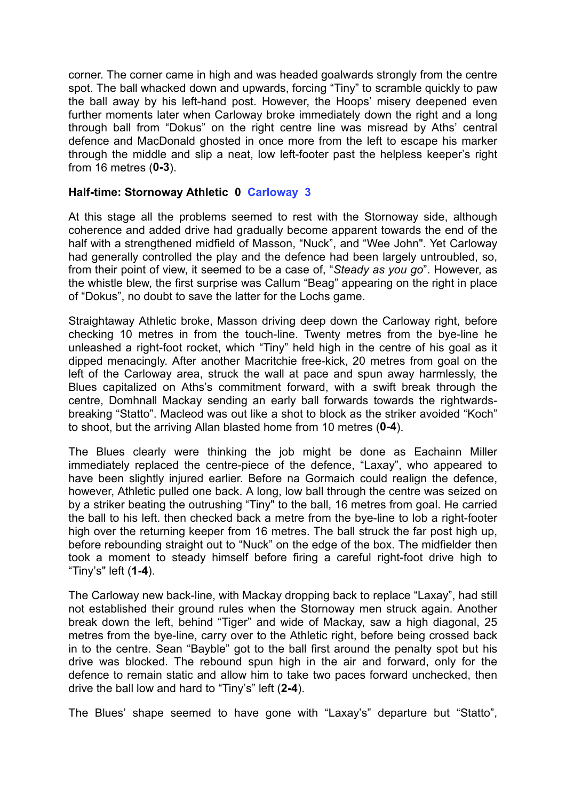corner. The corner came in high and was headed goalwards strongly from the centre spot. The ball whacked down and upwards, forcing "Tiny" to scramble quickly to paw the ball away by his left-hand post. However, the Hoops' misery deepened even further moments later when Carloway broke immediately down the right and a long through ball from "Dokus" on the right centre line was misread by Aths' central defence and MacDonald ghosted in once more from the left to escape his marker through the middle and slip a neat, low left-footer past the helpless keeper's right from 16 metres (**0-3**).

## **Half-time: Stornoway Athletic 0 Carloway 3**

At this stage all the problems seemed to rest with the Stornoway side, although coherence and added drive had gradually become apparent towards the end of the half with a strengthened midfield of Masson, "Nuck", and "Wee John". Yet Carloway had generally controlled the play and the defence had been largely untroubled, so, from their point of view, it seemed to be a case of, "*Steady as you go*". However, as the whistle blew, the first surprise was Callum "Beag" appearing on the right in place of "Dokus", no doubt to save the latter for the Lochs game.

Straightaway Athletic broke, Masson driving deep down the Carloway right, before checking 10 metres in from the touch-line. Twenty metres from the bye-line he unleashed a right-foot rocket, which "Tiny" held high in the centre of his goal as it dipped menacingly. After another Macritchie free-kick, 20 metres from goal on the left of the Carloway area, struck the wall at pace and spun away harmlessly, the Blues capitalized on Aths's commitment forward, with a swift break through the centre, Domhnall Mackay sending an early ball forwards towards the rightwardsbreaking "Statto". Macleod was out like a shot to block as the striker avoided "Koch" to shoot, but the arriving Allan blasted home from 10 metres (**0-4**).

The Blues clearly were thinking the job might be done as Eachainn Miller immediately replaced the centre-piece of the defence, "Laxay", who appeared to have been slightly injured earlier. Before na Gormaich could realign the defence, however, Athletic pulled one back. A long, low ball through the centre was seized on by a striker beating the outrushing "Tiny" to the ball, 16 metres from goal. He carried the ball to his left. then checked back a metre from the bye-line to lob a right-footer high over the returning keeper from 16 metres. The ball struck the far post high up, before rebounding straight out to "Nuck" on the edge of the box. The midfielder then took a moment to steady himself before firing a careful right-foot drive high to "Tiny's" left (**1-4**).

The Carloway new back-line, with Mackay dropping back to replace "Laxay", had still not established their ground rules when the Stornoway men struck again. Another break down the left, behind "Tiger" and wide of Mackay, saw a high diagonal, 25 metres from the bye-line, carry over to the Athletic right, before being crossed back in to the centre. Sean "Bayble" got to the ball first around the penalty spot but his drive was blocked. The rebound spun high in the air and forward, only for the defence to remain static and allow him to take two paces forward unchecked, then drive the ball low and hard to "Tiny's" left (**2-4**).

The Blues' shape seemed to have gone with "Laxay's" departure but "Statto",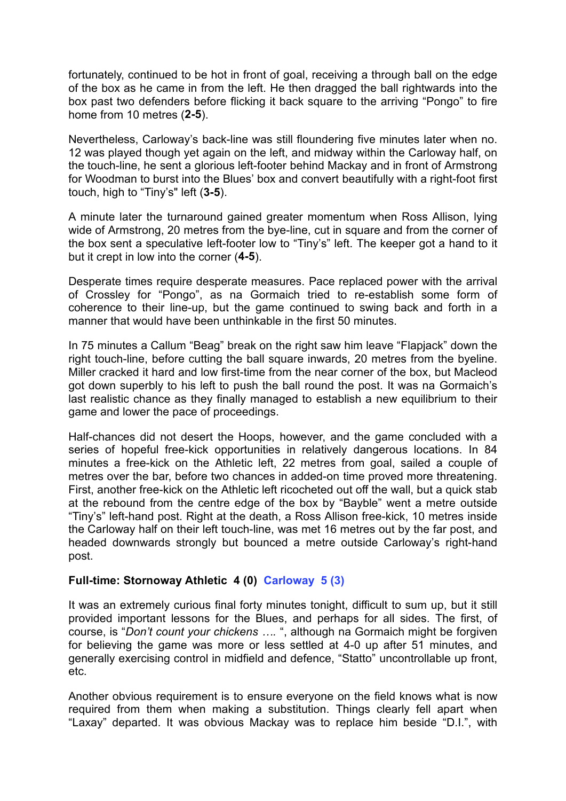fortunately, continued to be hot in front of goal, receiving a through ball on the edge of the box as he came in from the left. He then dragged the ball rightwards into the box past two defenders before flicking it back square to the arriving "Pongo" to fire home from 10 metres (**2-5**).

Nevertheless, Carloway's back-line was still floundering five minutes later when no. 12 was played though yet again on the left, and midway within the Carloway half, on the touch-line, he sent a glorious left-footer behind Mackay and in front of Armstrong for Woodman to burst into the Blues' box and convert beautifully with a right-foot first touch, high to "Tiny's" left (**3-5**).

A minute later the turnaround gained greater momentum when Ross Allison, lying wide of Armstrong, 20 metres from the bye-line, cut in square and from the corner of the box sent a speculative left-footer low to "Tiny's" left. The keeper got a hand to it but it crept in low into the corner (**4-5**).

Desperate times require desperate measures. Pace replaced power with the arrival of Crossley for "Pongo", as na Gormaich tried to re-establish some form of coherence to their line-up, but the game continued to swing back and forth in a manner that would have been unthinkable in the first 50 minutes.

In 75 minutes a Callum "Beag" break on the right saw him leave "Flapjack" down the right touch-line, before cutting the ball square inwards, 20 metres from the byeline. Miller cracked it hard and low first-time from the near corner of the box, but Macleod got down superbly to his left to push the ball round the post. It was na Gormaich's last realistic chance as they finally managed to establish a new equilibrium to their game and lower the pace of proceedings.

Half-chances did not desert the Hoops, however, and the game concluded with a series of hopeful free-kick opportunities in relatively dangerous locations. In 84 minutes a free-kick on the Athletic left, 22 metres from goal, sailed a couple of metres over the bar, before two chances in added-on time proved more threatening. First, another free-kick on the Athletic left ricocheted out off the wall, but a quick stab at the rebound from the centre edge of the box by "Bayble" went a metre outside "Tiny's" left-hand post. Right at the death, a Ross Allison free-kick, 10 metres inside the Carloway half on their left touch-line, was met 16 metres out by the far post, and headed downwards strongly but bounced a metre outside Carloway's right-hand post.

### **Full-time: Stornoway Athletic 4 (0) Carloway 5 (3)**

It was an extremely curious final forty minutes tonight, difficult to sum up, but it still provided important lessons for the Blues, and perhaps for all sides. The first, of course, is "*Don't count your chickens ….* ", although na Gormaich might be forgiven for believing the game was more or less settled at 4-0 up after 51 minutes, and generally exercising control in midfield and defence, "Statto" uncontrollable up front, etc.

Another obvious requirement is to ensure everyone on the field knows what is now required from them when making a substitution. Things clearly fell apart when "Laxay" departed. It was obvious Mackay was to replace him beside "D.I.", with